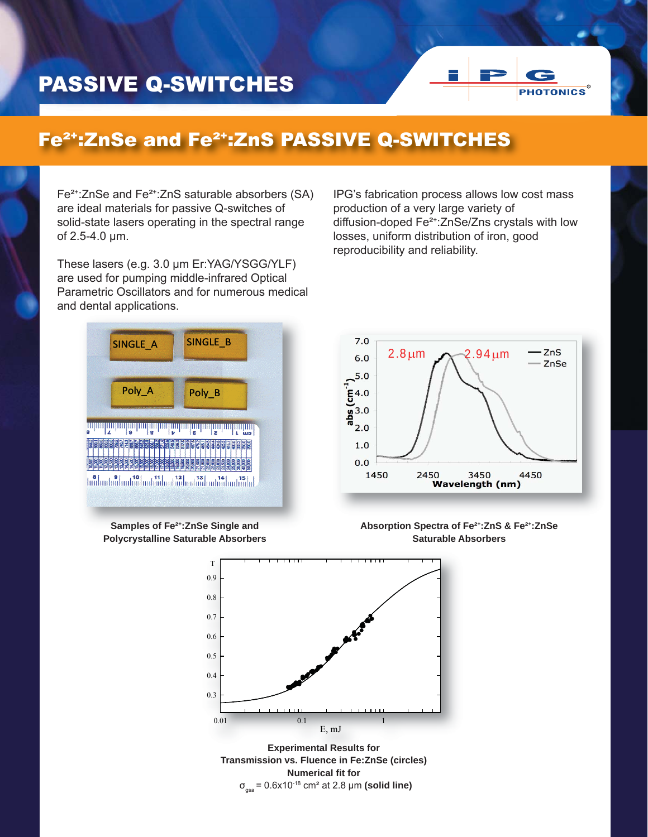## PASSIVE Q-SWITCHES



## Fe²+:ZnSe and Fe²+:ZnS PASSIVE Q-SWITCHES

Fe<sup>2+</sup>:ZnSe and Fe<sup>2+</sup>:ZnS saturable absorbers (SA) are ideal materials for passive Q-switches of solid-state lasers operating in the spectral range of 2.5-4.0 μm.

These lasers (e.g. 3.0 μm Er:YAG/YSGG/YLF) are used for pumping middle-infrared Optical Parametric Oscillators and for numerous medical and dental applications.

IPG's fabrication process allows low cost mass production of a very large variety of diffusion-doped Fe²+:ZnSe/Zns crystals with low losses, uniform distribution of iron, good reproducibility and reliability.





**Samples of Fe²+:ZnSe Single and Polycrystalline Saturable Absorbers**